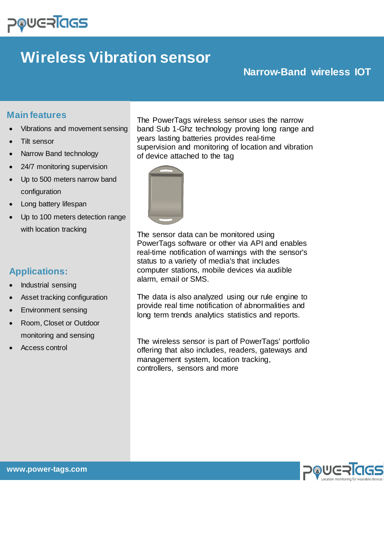# **POUGRIGS**

## **Wireless Vibration sensor**

## **Narrow-Band wireless IOT**

### **Main features**

- Vibrations and movement sensing
- Tilt sensor
- Narrow Band technology
- 24/7 monitoring supervision
- Up to 500 meters narrow band configuration
- Long battery lifespan
- Up to 100 meters detection range with location tracking

## **Applications:**

- Industrial sensing
- Asset tracking configuration
- Environment sensing
- Room, Closet or Outdoor monitoring and sensing
- Access control

The PowerTags wireless sensor uses the narrow band Sub 1-Ghz technology proving long range and years lasting batteries provides real-time supervision and monitoring of location and vibration of device attached to the tag



The sensor data can be monitored using PowerTags software or other via API and enables real-time notification of warnings with the sensor's status to a variety of media's that includes computer stations, mobile devices via audible alarm, email or SMS.

The data is also analyzed using our rule engine to provide real time notification of abnormalities and long term trends analytics statistics and reports.

The wireless sensor is part of PowerTags' portfolio offering that also includes, readers, gateways and management system, location tracking, controllers, sensors and more